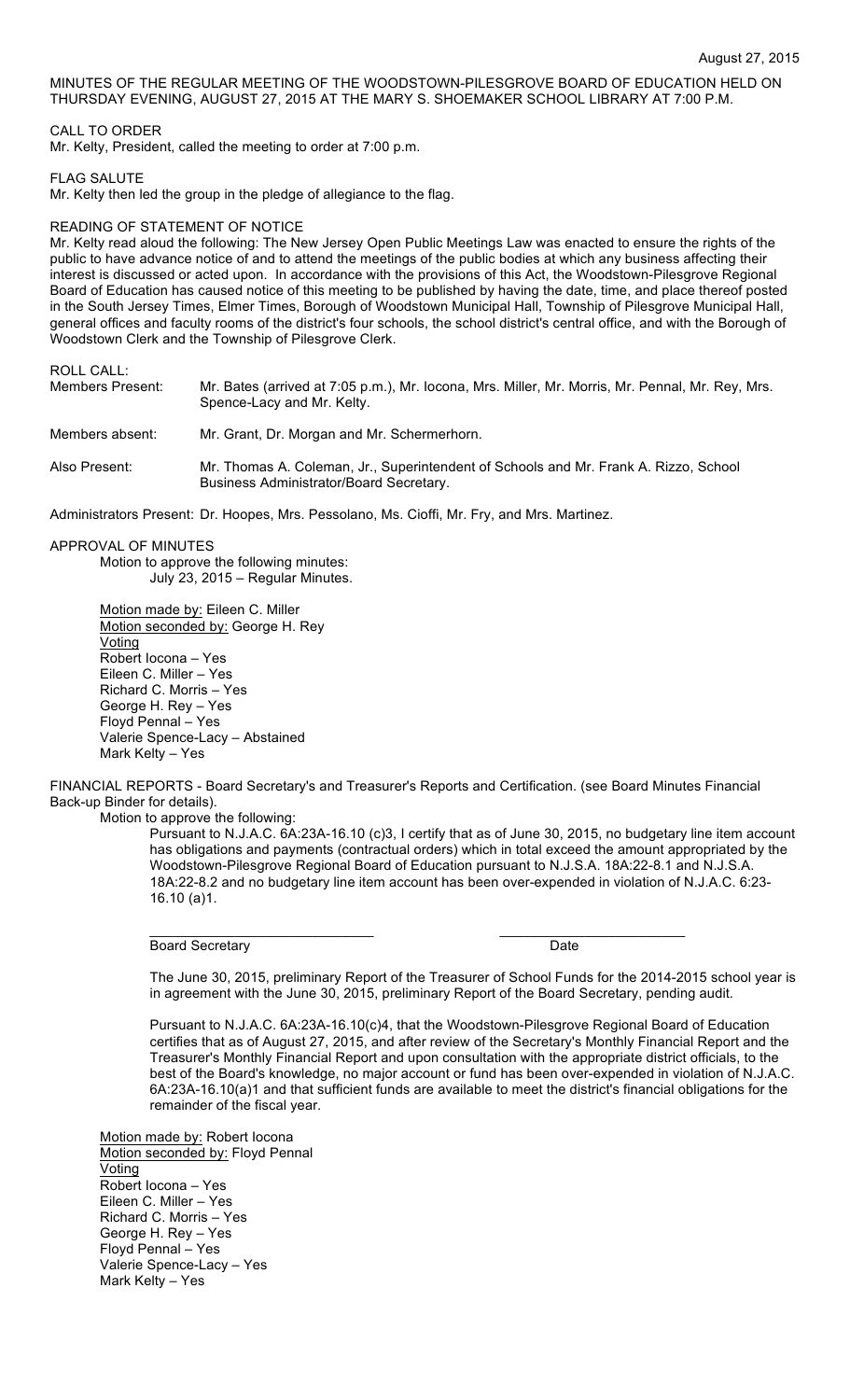MINUTES OF THE REGULAR MEETING OF THE WOODSTOWN-PILESGROVE BOARD OF EDUCATION HELD ON THURSDAY EVENING, AUGUST 27, 2015 AT THE MARY S. SHOEMAKER SCHOOL LIBRARY AT 7:00 P.M.

# CALL TO ORDER

Mr. Kelty, President, called the meeting to order at 7:00 p.m.

### FLAG SALUTE

Mr. Kelty then led the group in the pledge of allegiance to the flag.

# READING OF STATEMENT OF NOTICE

Mr. Kelty read aloud the following: The New Jersey Open Public Meetings Law was enacted to ensure the rights of the public to have advance notice of and to attend the meetings of the public bodies at which any business affecting their interest is discussed or acted upon. In accordance with the provisions of this Act, the Woodstown-Pilesgrove Regional Board of Education has caused notice of this meeting to be published by having the date, time, and place thereof posted in the South Jersey Times, Elmer Times, Borough of Woodstown Municipal Hall, Township of Pilesgrove Municipal Hall, general offices and faculty rooms of the district's four schools, the school district's central office, and with the Borough of Woodstown Clerk and the Township of Pilesgrove Clerk.

ROLL CALL:

| Members Present: | Mr. Bates (arrived at 7:05 p.m.), Mr. Iocona, Mrs. Miller, Mr. Morris, Mr. Pennal, Mr. Rey, Mrs.<br>Spence-Lacy and Mr. Kelty.  |
|------------------|---------------------------------------------------------------------------------------------------------------------------------|
| Members absent:  | Mr. Grant, Dr. Morgan and Mr. Schermerhorn.                                                                                     |
| Also Present:    | Mr. Thomas A. Coleman, Jr., Superintendent of Schools and Mr. Frank A. Rizzo, School<br>Business Administrator/Board Secretary. |
|                  |                                                                                                                                 |

Administrators Present: Dr. Hoopes, Mrs. Pessolano, Ms. Cioffi, Mr. Fry, and Mrs. Martinez.

APPROVAL OF MINUTES

Motion to approve the following minutes: July 23, 2015 – Regular Minutes.

Motion made by: Eileen C. Miller Motion seconded by: George H. Rey Voting Robert Iocona – Yes Eileen C. Miller – Yes Richard C. Morris – Yes George H. Rey – Yes Floyd Pennal – Yes Valerie Spence-Lacy – Abstained Mark Kelty – Yes

FINANCIAL REPORTS - Board Secretary's and Treasurer's Reports and Certification. (see Board Minutes Financial Back-up Binder for details).

\_\_\_\_\_\_\_\_\_\_\_\_\_\_\_\_\_\_\_\_\_\_\_\_\_\_\_\_\_ \_\_\_\_\_\_\_\_\_\_\_\_\_\_\_\_\_\_\_\_\_\_\_\_

Motion to approve the following:

Pursuant to N.J.A.C. 6A:23A-16.10 (c)3, I certify that as of June 30, 2015, no budgetary line item account has obligations and payments (contractual orders) which in total exceed the amount appropriated by the Woodstown-Pilesgrove Regional Board of Education pursuant to N.J.S.A. 18A:22-8.1 and N.J.S.A. 18A:22-8.2 and no budgetary line item account has been over-expended in violation of N.J.A.C. 6:23- 16.10 (a)1.

Board Secretary **Date** 

The June 30, 2015, preliminary Report of the Treasurer of School Funds for the 2014-2015 school year is in agreement with the June 30, 2015, preliminary Report of the Board Secretary, pending audit.

Pursuant to N.J.A.C. 6A:23A-16.10(c)4, that the Woodstown-Pilesgrove Regional Board of Education certifies that as of August 27, 2015, and after review of the Secretary's Monthly Financial Report and the Treasurer's Monthly Financial Report and upon consultation with the appropriate district officials, to the best of the Board's knowledge, no major account or fund has been over-expended in violation of N.J.A.C. 6A:23A-16.10(a)1 and that sufficient funds are available to meet the district's financial obligations for the remainder of the fiscal year.

Motion made by: Robert Iocona Motion seconded by: Floyd Pennal **Voting** Robert Iocona – Yes Eileen C. Miller – Yes Richard C. Morris – Yes George H. Rey – Yes Floyd Pennal – Yes Valerie Spence-Lacy – Yes Mark Kelty – Yes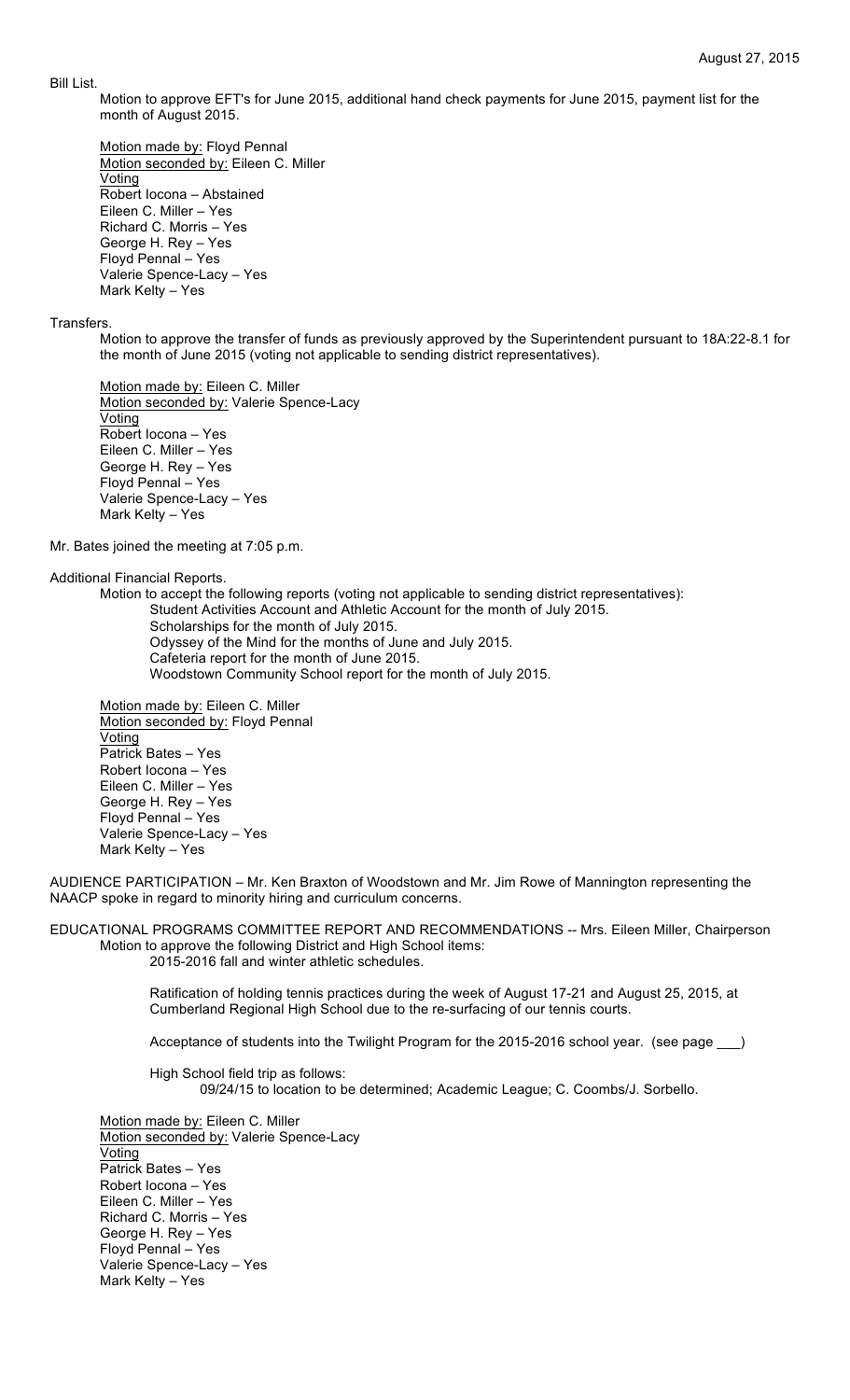#### Bill List.

Motion to approve EFT's for June 2015, additional hand check payments for June 2015, payment list for the month of August 2015.

Motion made by: Floyd Pennal Motion seconded by: Eileen C. Miller Voting Robert Iocona – Abstained Eileen C. Miller – Yes Richard C. Morris – Yes George H. Rey – Yes Floyd Pennal – Yes Valerie Spence-Lacy – Yes Mark Kelty – Yes

### **Transfers**

Motion to approve the transfer of funds as previously approved by the Superintendent pursuant to 18A:22-8.1 for the month of June 2015 (voting not applicable to sending district representatives).

Motion made by: Eileen C. Miller Motion seconded by: Valerie Spence-Lacy Voting Robert Iocona – Yes Eileen C. Miller – Yes George H. Rey – Yes Floyd Pennal – Yes Valerie Spence-Lacy – Yes Mark Kelty – Yes

Mr. Bates joined the meeting at 7:05 p.m.

Additional Financial Reports.

Motion to accept the following reports (voting not applicable to sending district representatives): Student Activities Account and Athletic Account for the month of July 2015. Scholarships for the month of July 2015. Odyssey of the Mind for the months of June and July 2015. Cafeteria report for the month of June 2015. Woodstown Community School report for the month of July 2015.

Motion made by: Eileen C. Miller Motion seconded by: Floyd Pennal **Voting** Patrick Bates – Yes Robert Iocona – Yes Eileen C. Miller – Yes George H. Rey – Yes Floyd Pennal – Yes Valerie Spence-Lacy – Yes Mark Kelty – Yes

AUDIENCE PARTICIPATION – Mr. Ken Braxton of Woodstown and Mr. Jim Rowe of Mannington representing the NAACP spoke in regard to minority hiring and curriculum concerns.

EDUCATIONAL PROGRAMS COMMITTEE REPORT AND RECOMMENDATIONS -- Mrs. Eileen Miller, Chairperson Motion to approve the following District and High School items: 2015-2016 fall and winter athletic schedules.

> Ratification of holding tennis practices during the week of August 17-21 and August 25, 2015, at Cumberland Regional High School due to the re-surfacing of our tennis courts.

> Acceptance of students into the Twilight Program for the 2015-2016 school year. (see page )

High School field trip as follows: 09/24/15 to location to be determined; Academic League; C. Coombs/J. Sorbello.

Motion made by: Eileen C. Miller Motion seconded by: Valerie Spence-Lacy Voting Patrick Bates – Yes Robert Iocona – Yes Eileen C. Miller – Yes Richard C. Morris – Yes George H. Rey – Yes Floyd Pennal – Yes Valerie Spence-Lacy – Yes Mark Kelty – Yes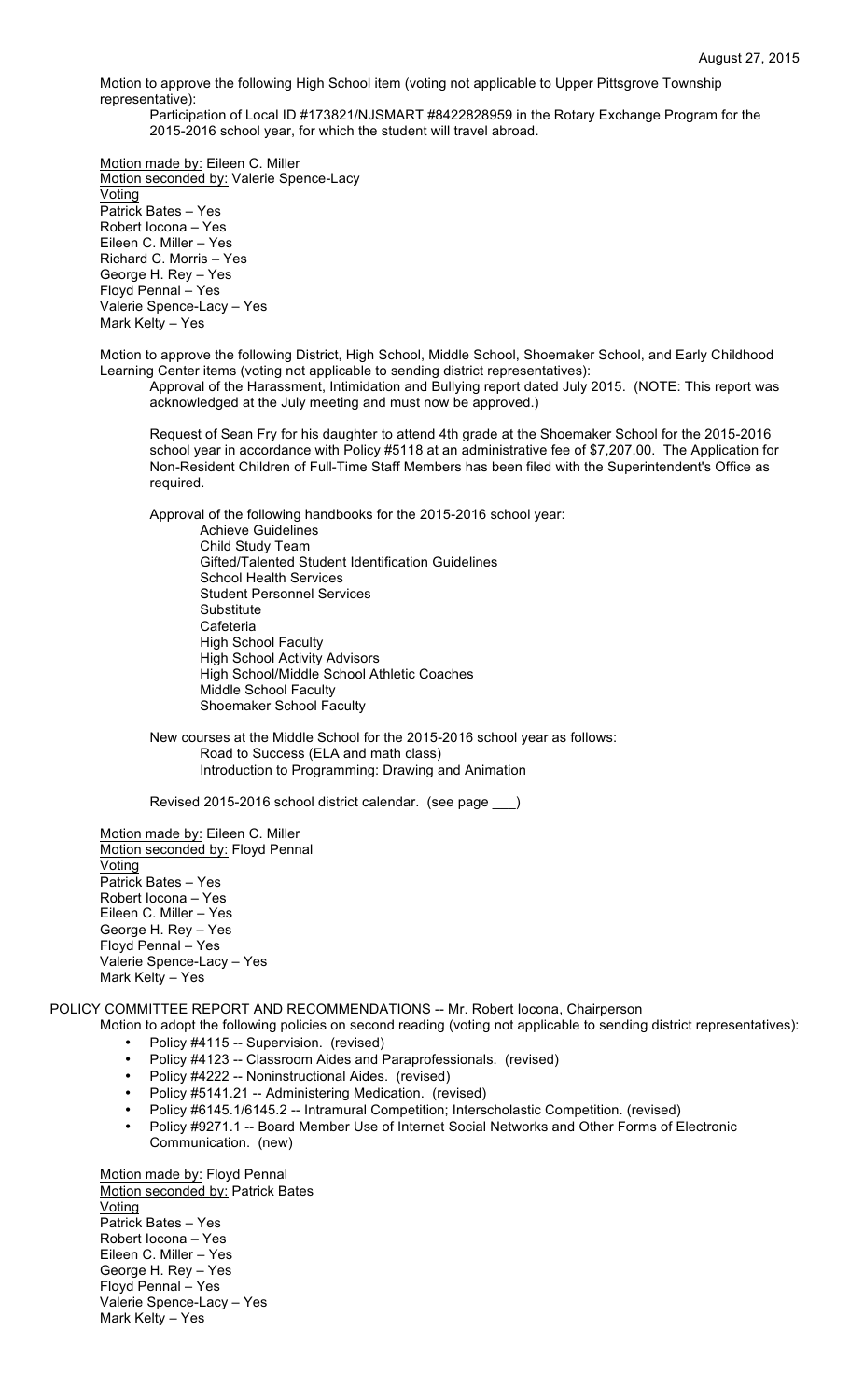Motion to approve the following High School item (voting not applicable to Upper Pittsgrove Township representative):

Participation of Local ID #173821/NJSMART #8422828959 in the Rotary Exchange Program for the 2015-2016 school year, for which the student will travel abroad.

Motion made by: Eileen C. Miller Motion seconded by: Valerie Spence-Lacy Voting Patrick Bates – Yes Robert Iocona – Yes Eileen C. Miller – Yes Richard C. Morris – Yes George H. Rey – Yes Floyd Pennal – Yes Valerie Spence-Lacy – Yes Mark Kelty – Yes

Motion to approve the following District, High School, Middle School, Shoemaker School, and Early Childhood Learning Center items (voting not applicable to sending district representatives):

Approval of the Harassment, Intimidation and Bullying report dated July 2015. (NOTE: This report was acknowledged at the July meeting and must now be approved.)

Request of Sean Fry for his daughter to attend 4th grade at the Shoemaker School for the 2015-2016 school year in accordance with Policy #5118 at an administrative fee of \$7,207.00. The Application for Non-Resident Children of Full-Time Staff Members has been filed with the Superintendent's Office as required.

Approval of the following handbooks for the 2015-2016 school year:

Achieve Guidelines Child Study Team Gifted/Talented Student Identification Guidelines School Health Services Student Personnel Services **Substitute Cafeteria** High School Faculty High School Activity Advisors High School/Middle School Athletic Coaches Middle School Faculty Shoemaker School Faculty

New courses at the Middle School for the 2015-2016 school year as follows: Road to Success (ELA and math class) Introduction to Programming: Drawing and Animation

Revised 2015-2016 school district calendar. (see page \_\_\_)

Motion made by: Eileen C. Miller Motion seconded by: Floyd Pennal **Voting** Patrick Bates – Yes Robert Iocona – Yes Eileen C. Miller – Yes George H. Rey – Yes Floyd Pennal – Yes Valerie Spence-Lacy – Yes Mark Kelty – Yes

POLICY COMMITTEE REPORT AND RECOMMENDATIONS -- Mr. Robert Iocona, Chairperson

- Motion to adopt the following policies on second reading (voting not applicable to sending district representatives): • Policy #4115 -- Supervision. (revised)<br>• Policy #4123 -- Classroom Aides and B
	- Policy #4123 -- Classroom Aides and Paraprofessionals. (revised)
	- Policy #4222 -- Noninstructional Aides. (revised)
	- Policy #5141.21 -- Administering Medication. (revised)
	- Policy #6145.1/6145.2 -- Intramural Competition; Interscholastic Competition. (revised)
	- Policy #9271.1 -- Board Member Use of Internet Social Networks and Other Forms of Electronic Communication. (new)

Motion made by: Floyd Pennal Motion seconded by: Patrick Bates Voting Patrick Bates – Yes Robert Iocona – Yes Eileen C. Miller – Yes George H. Rey – Yes Floyd Pennal – Yes Valerie Spence-Lacy – Yes Mark Kelty – Yes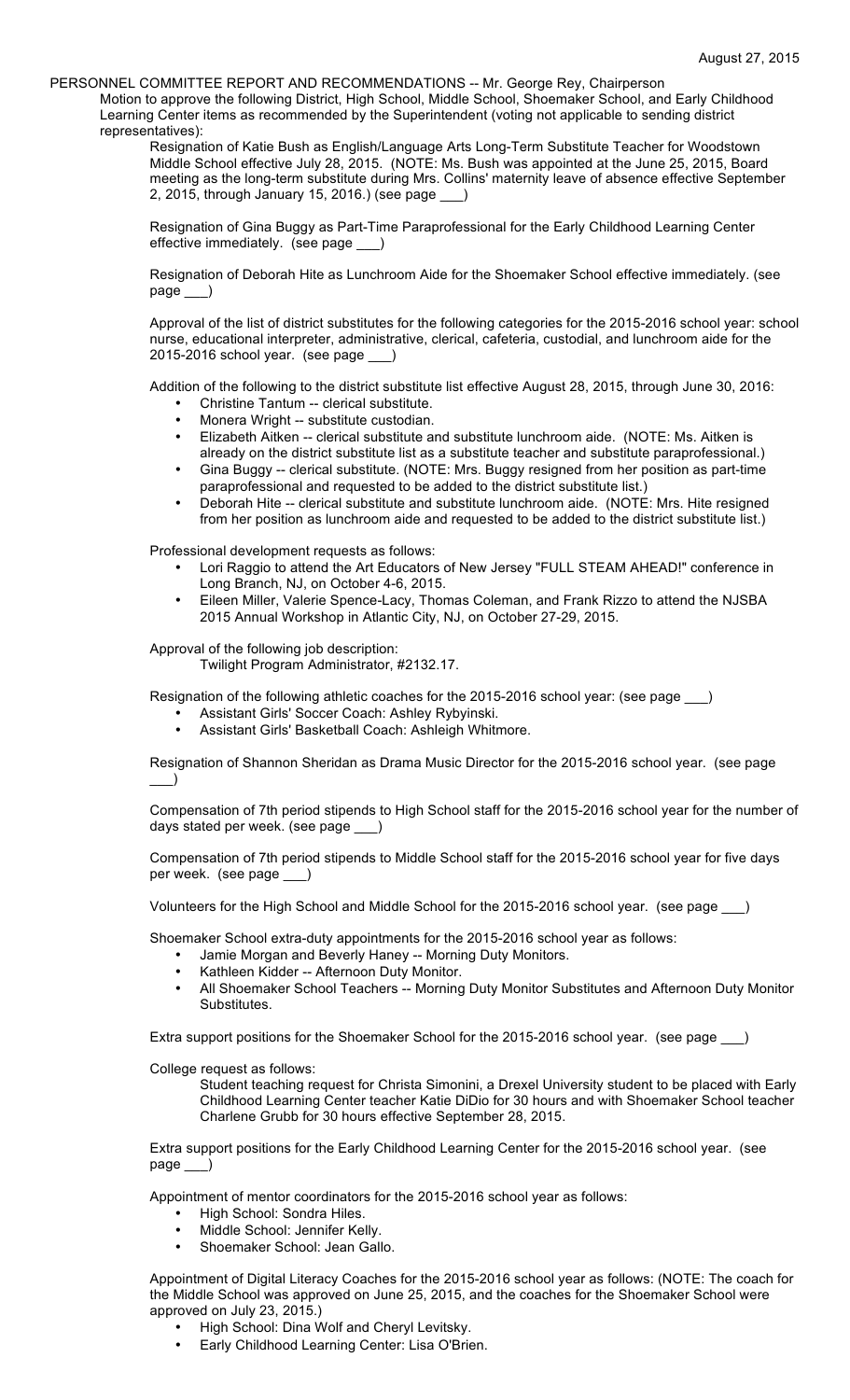PERSONNEL COMMITTEE REPORT AND RECOMMENDATIONS -- Mr. George Rey, Chairperson

Motion to approve the following District, High School, Middle School, Shoemaker School, and Early Childhood Learning Center items as recommended by the Superintendent (voting not applicable to sending district representatives):

Resignation of Katie Bush as English/Language Arts Long-Term Substitute Teacher for Woodstown Middle School effective July 28, 2015. (NOTE: Ms. Bush was appointed at the June 25, 2015, Board meeting as the long-term substitute during Mrs. Collins' maternity leave of absence effective September 2, 2015, through January 15, 2016.) (see page \_\_\_)

Resignation of Gina Buggy as Part-Time Paraprofessional for the Early Childhood Learning Center effective immediately. (see page \_\_)

Resignation of Deborah Hite as Lunchroom Aide for the Shoemaker School effective immediately. (see page \_\_\_)

Approval of the list of district substitutes for the following categories for the 2015-2016 school year: school nurse, educational interpreter, administrative, clerical, cafeteria, custodial, and lunchroom aide for the 2015-2016 school year. (see page \_\_\_)

Addition of the following to the district substitute list effective August 28, 2015, through June 30, 2016:

- Christine Tantum -- clerical substitute.
- Monera Wright -- substitute custodian.
- Elizabeth Aitken -- clerical substitute and substitute lunchroom aide. (NOTE: Ms. Aitken is already on the district substitute list as a substitute teacher and substitute paraprofessional.)
- Gina Buggy -- clerical substitute. (NOTE: Mrs. Buggy resigned from her position as part-time paraprofessional and requested to be added to the district substitute list.)
- Deborah Hite -- clerical substitute and substitute lunchroom aide. (NOTE: Mrs. Hite resigned from her position as lunchroom aide and requested to be added to the district substitute list.)

Professional development requests as follows:

- Lori Raggio to attend the Art Educators of New Jersey "FULL STEAM AHEAD!" conference in Long Branch, NJ, on October 4-6, 2015.
- Eileen Miller, Valerie Spence-Lacy, Thomas Coleman, and Frank Rizzo to attend the NJSBA 2015 Annual Workshop in Atlantic City, NJ, on October 27-29, 2015.

Approval of the following job description:

Twilight Program Administrator, #2132.17.

Resignation of the following athletic coaches for the 2015-2016 school year: (see page )

- Assistant Girls' Soccer Coach: Ashley Rybyinski.
- Assistant Girls' Basketball Coach: Ashleigh Whitmore.

Resignation of Shannon Sheridan as Drama Music Director for the 2015-2016 school year. (see page  $\qquad)$ 

Compensation of 7th period stipends to High School staff for the 2015-2016 school year for the number of days stated per week. (see page

Compensation of 7th period stipends to Middle School staff for the 2015-2016 school year for five days per week. (see page

Volunteers for the High School and Middle School for the 2015-2016 school year. (see page \_\_\_)

Shoemaker School extra-duty appointments for the 2015-2016 school year as follows:

- Jamie Morgan and Beverly Haney -- Morning Duty Monitors.
	- Kathleen Kidder -- Afternoon Duty Monitor.
	- All Shoemaker School Teachers -- Morning Duty Monitor Substitutes and Afternoon Duty Monitor **Substitutes**

Extra support positions for the Shoemaker School for the 2015-2016 school year. (see page \_\_)

College request as follows:

Student teaching request for Christa Simonini, a Drexel University student to be placed with Early Childhood Learning Center teacher Katie DiDio for 30 hours and with Shoemaker School teacher Charlene Grubb for 30 hours effective September 28, 2015.

Extra support positions for the Early Childhood Learning Center for the 2015-2016 school year. (see page \_\_\_)

Appointment of mentor coordinators for the 2015-2016 school year as follows:

- High School: Sondra Hiles.
- Middle School: Jennifer Kelly.
- Shoemaker School: Jean Gallo.

Appointment of Digital Literacy Coaches for the 2015-2016 school year as follows: (NOTE: The coach for the Middle School was approved on June 25, 2015, and the coaches for the Shoemaker School were approved on July 23, 2015.)

- High School: Dina Wolf and Cheryl Levitsky.
- Early Childhood Learning Center: Lisa O'Brien.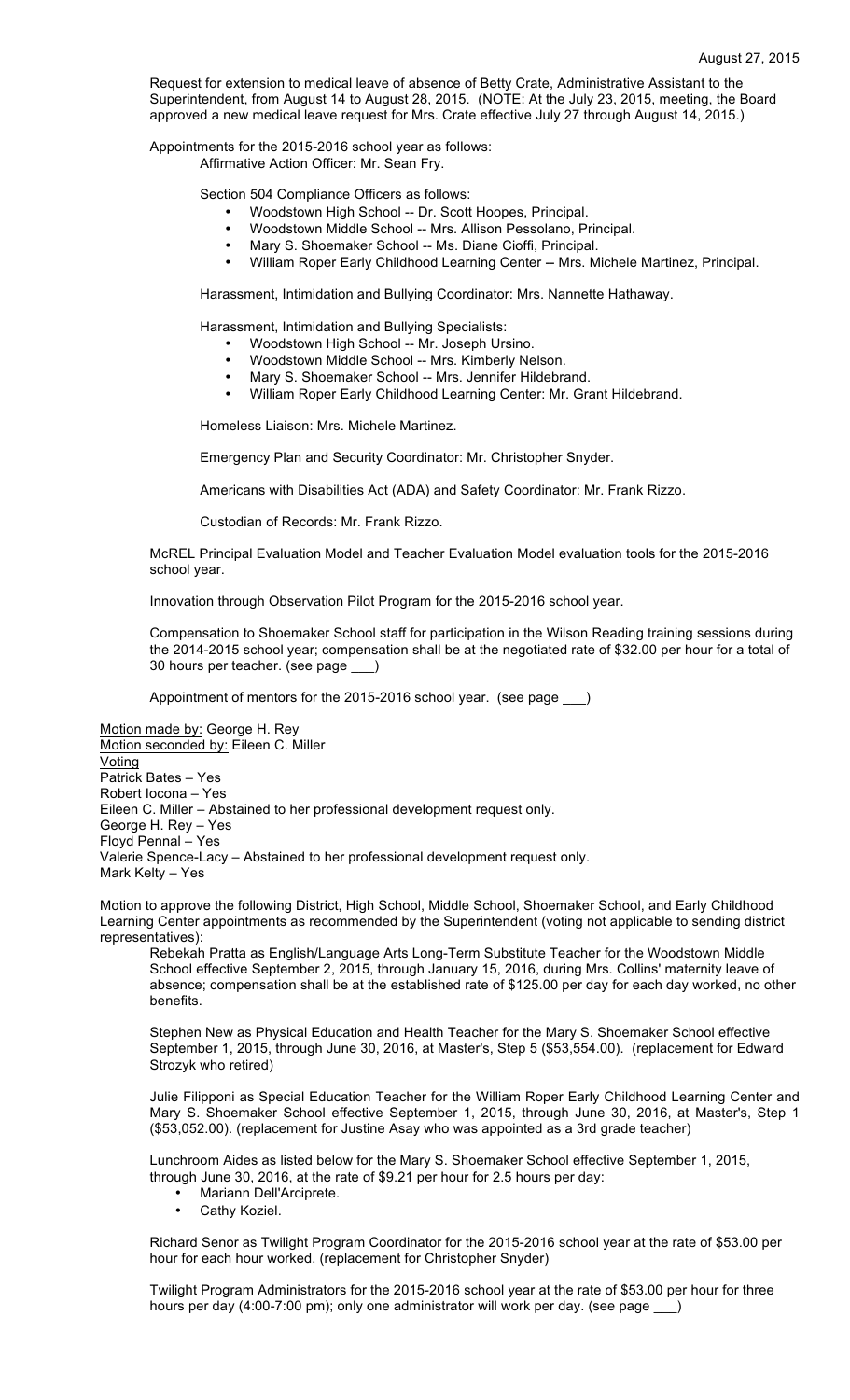Request for extension to medical leave of absence of Betty Crate, Administrative Assistant to the Superintendent, from August 14 to August 28, 2015. (NOTE: At the July 23, 2015, meeting, the Board approved a new medical leave request for Mrs. Crate effective July 27 through August 14, 2015.)

Appointments for the 2015-2016 school year as follows: Affirmative Action Officer: Mr. Sean Fry.

Section 504 Compliance Officers as follows:

- Woodstown High School -- Dr. Scott Hoopes, Principal.<br>• Woodstown Middle School Mrs. Allison Bosselane, Br.
- Woodstown Middle School -- Mrs. Allison Pessolano, Principal.
- Mary S. Shoemaker School -- Ms. Diane Cioffi, Principal.
- William Roper Early Childhood Learning Center -- Mrs. Michele Martinez, Principal.

Harassment, Intimidation and Bullying Coordinator: Mrs. Nannette Hathaway.

Harassment, Intimidation and Bullying Specialists:

- Woodstown High School -- Mr. Joseph Ursino.
- Woodstown Middle School -- Mrs. Kimberly Nelson.
- Mary S. Shoemaker School -- Mrs. Jennifer Hildebrand.
- William Roper Early Childhood Learning Center: Mr. Grant Hildebrand.

Homeless Liaison: Mrs. Michele Martinez.

Emergency Plan and Security Coordinator: Mr. Christopher Snyder.

Americans with Disabilities Act (ADA) and Safety Coordinator: Mr. Frank Rizzo.

Custodian of Records: Mr. Frank Rizzo.

McREL Principal Evaluation Model and Teacher Evaluation Model evaluation tools for the 2015-2016 school year.

Innovation through Observation Pilot Program for the 2015-2016 school year.

Compensation to Shoemaker School staff for participation in the Wilson Reading training sessions during the 2014-2015 school year; compensation shall be at the negotiated rate of \$32.00 per hour for a total of 30 hours per teacher. (see page \_\_\_)

Appointment of mentors for the 2015-2016 school year. (see page \_\_\_)

Motion made by: George H. Rey Motion seconded by: Eileen C. Miller Voting Patrick Bates – Yes Robert Iocona – Yes Eileen C. Miller – Abstained to her professional development request only. George H. Rey – Yes Floyd Pennal – Yes Valerie Spence-Lacy – Abstained to her professional development request only. Mark Kelty – Yes

Motion to approve the following District, High School, Middle School, Shoemaker School, and Early Childhood Learning Center appointments as recommended by the Superintendent (voting not applicable to sending district representatives):

Rebekah Pratta as English/Language Arts Long-Term Substitute Teacher for the Woodstown Middle School effective September 2, 2015, through January 15, 2016, during Mrs. Collins' maternity leave of absence; compensation shall be at the established rate of \$125.00 per day for each day worked, no other **benefits** 

Stephen New as Physical Education and Health Teacher for the Mary S. Shoemaker School effective September 1, 2015, through June 30, 2016, at Master's, Step 5 (\$53,554.00). (replacement for Edward Strozyk who retired)

Julie Filipponi as Special Education Teacher for the William Roper Early Childhood Learning Center and Mary S. Shoemaker School effective September 1, 2015, through June 30, 2016, at Master's, Step 1 (\$53,052.00). (replacement for Justine Asay who was appointed as a 3rd grade teacher)

Lunchroom Aides as listed below for the Mary S. Shoemaker School effective September 1, 2015, through June 30, 2016, at the rate of \$9.21 per hour for 2.5 hours per day:

- Mariann Dell'Arciprete.
- Cathy Koziel.

Richard Senor as Twilight Program Coordinator for the 2015-2016 school year at the rate of \$53.00 per hour for each hour worked. (replacement for Christopher Snyder)

Twilight Program Administrators for the 2015-2016 school year at the rate of \$53.00 per hour for three hours per day (4:00-7:00 pm); only one administrator will work per day. (see page \_\_)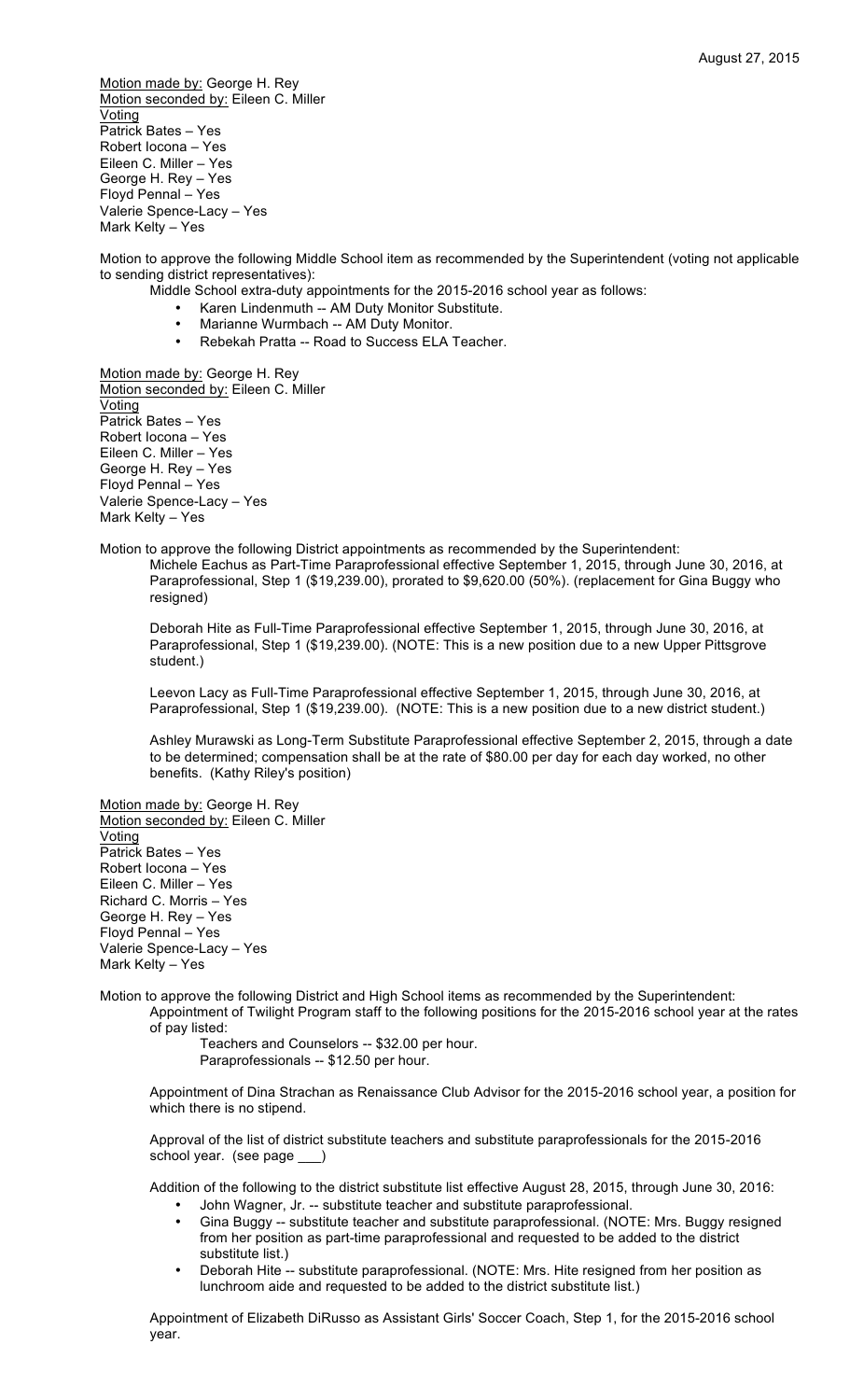Motion made by: George H. Rey Motion seconded by: Eileen C. Miller Voting Patrick Bates – Yes Robert Iocona – Yes Eileen C. Miller – Yes George H. Rey – Yes Floyd Pennal – Yes Valerie Spence-Lacy – Yes Mark Kelty – Yes

Motion to approve the following Middle School item as recommended by the Superintendent (voting not applicable to sending district representatives):

- Middle School extra-duty appointments for the 2015-2016 school year as follows:
	- Karen Lindenmuth -- AM Duty Monitor Substitute.
	- Marianne Wurmbach -- AM Duty Monitor.<br>• Rebekah Pratta -- Road to Success ELA:
	- Rebekah Pratta -- Road to Success ELA Teacher.

Motion made by: George H. Rey Motion seconded by: Eileen C. Miller **Voting** Patrick Bates – Yes Robert Iocona – Yes Eileen C. Miller – Yes George H. Rey – Yes Floyd Pennal – Yes Valerie Spence-Lacy – Yes Mark Kelty – Yes

Motion to approve the following District appointments as recommended by the Superintendent: Michele Eachus as Part-Time Paraprofessional effective September 1, 2015, through June 30, 2016, at Paraprofessional, Step 1 (\$19,239.00), prorated to \$9,620.00 (50%). (replacement for Gina Buggy who resigned)

Deborah Hite as Full-Time Paraprofessional effective September 1, 2015, through June 30, 2016, at Paraprofessional, Step 1 (\$19,239.00). (NOTE: This is a new position due to a new Upper Pittsgrove student.)

Leevon Lacy as Full-Time Paraprofessional effective September 1, 2015, through June 30, 2016, at Paraprofessional, Step 1 (\$19,239.00). (NOTE: This is a new position due to a new district student.)

Ashley Murawski as Long-Term Substitute Paraprofessional effective September 2, 2015, through a date to be determined; compensation shall be at the rate of \$80.00 per day for each day worked, no other benefits. (Kathy Riley's position)

Motion made by: George H. Rey Motion seconded by: Eileen C. Miller **Voting** Patrick Bates – Yes Robert Iocona – Yes Eileen C. Miller – Yes Richard C. Morris – Yes George H. Rey – Yes Floyd Pennal – Yes Valerie Spence-Lacy – Yes Mark Kelty – Yes

Motion to approve the following District and High School items as recommended by the Superintendent: Appointment of Twilight Program staff to the following positions for the 2015-2016 school year at the rates of pay listed:

> Teachers and Counselors -- \$32.00 per hour. Paraprofessionals -- \$12.50 per hour.

Appointment of Dina Strachan as Renaissance Club Advisor for the 2015-2016 school year, a position for which there is no stipend.

Approval of the list of district substitute teachers and substitute paraprofessionals for the 2015-2016 school year. (see page \_

Addition of the following to the district substitute list effective August 28, 2015, through June 30, 2016:

- John Wagner, Jr. -- substitute teacher and substitute paraprofessional.
- Gina Buggy -- substitute teacher and substitute paraprofessional. (NOTE: Mrs. Buggy resigned from her position as part-time paraprofessional and requested to be added to the district substitute list.)
- Deborah Hite -- substitute paraprofessional. (NOTE: Mrs. Hite resigned from her position as lunchroom aide and requested to be added to the district substitute list.)

Appointment of Elizabeth DiRusso as Assistant Girls' Soccer Coach, Step 1, for the 2015-2016 school year.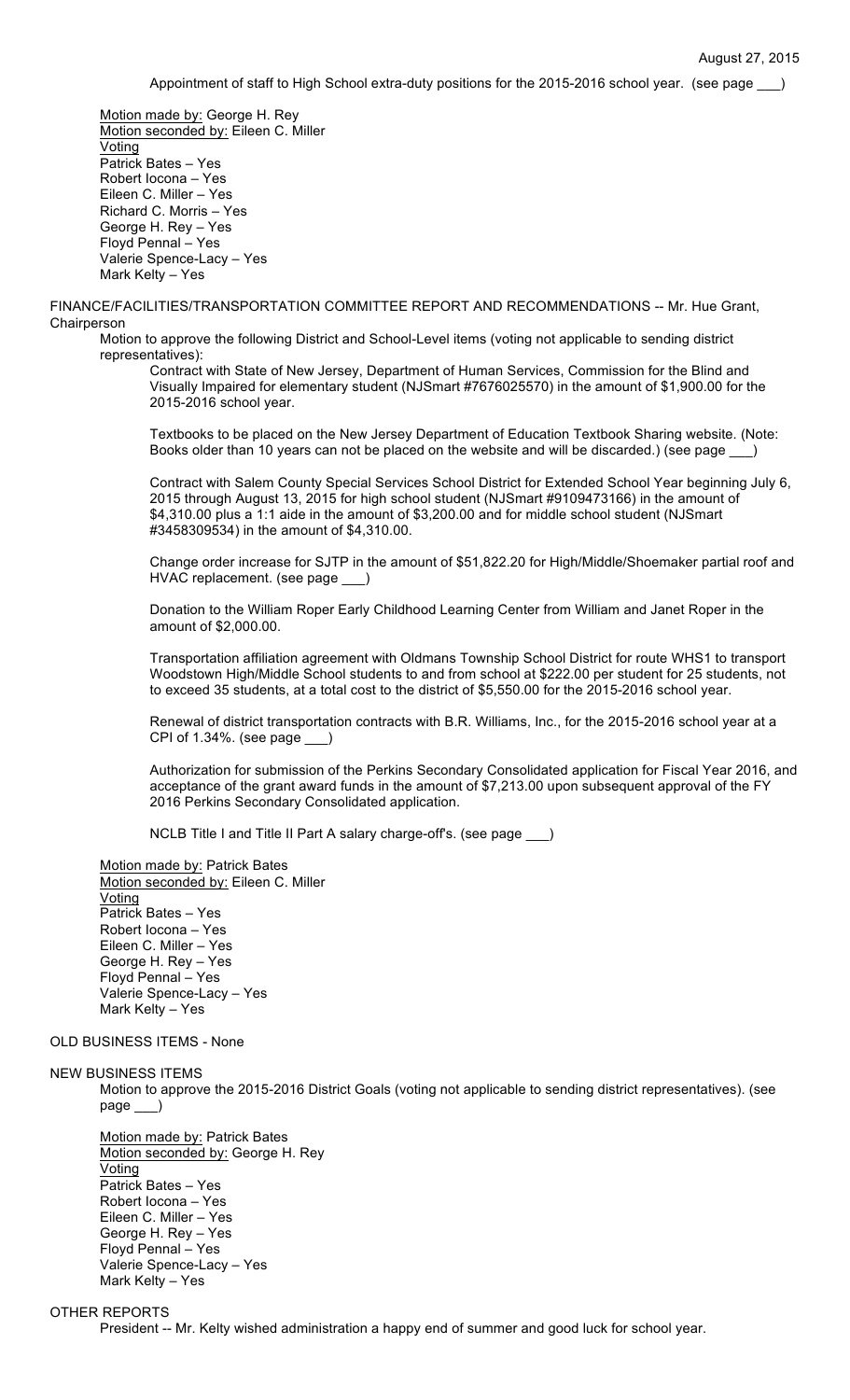Appointment of staff to High School extra-duty positions for the 2015-2016 school year. (see page )

Motion made by: George H. Rey Motion seconded by: Eileen C. Miller **Voting** Patrick Bates – Yes Robert Iocona – Yes Eileen C. Miller – Yes Richard C. Morris – Yes George H. Rey – Yes Floyd Pennal – Yes Valerie Spence-Lacy – Yes Mark Kelty – Yes

FINANCE/FACILITIES/TRANSPORTATION COMMITTEE REPORT AND RECOMMENDATIONS -- Mr. Hue Grant, **Chairperson** 

Motion to approve the following District and School-Level items (voting not applicable to sending district representatives):

Contract with State of New Jersey, Department of Human Services, Commission for the Blind and Visually Impaired for elementary student (NJSmart #7676025570) in the amount of \$1,900.00 for the 2015-2016 school year.

Textbooks to be placed on the New Jersey Department of Education Textbook Sharing website. (Note: Books older than 10 years can not be placed on the website and will be discarded.) (see page \_\_\_)

Contract with Salem County Special Services School District for Extended School Year beginning July 6, 2015 through August 13, 2015 for high school student (NJSmart #9109473166) in the amount of \$4,310.00 plus a 1:1 aide in the amount of \$3,200.00 and for middle school student (NJSmart #3458309534) in the amount of \$4,310.00.

Change order increase for SJTP in the amount of \$51,822.20 for High/Middle/Shoemaker partial roof and HVAC replacement. (see page \_\_\_)

Donation to the William Roper Early Childhood Learning Center from William and Janet Roper in the amount of \$2,000.00.

Transportation affiliation agreement with Oldmans Township School District for route WHS1 to transport Woodstown High/Middle School students to and from school at \$222.00 per student for 25 students, not to exceed 35 students, at a total cost to the district of \$5,550.00 for the 2015-2016 school year.

Renewal of district transportation contracts with B.R. Williams, Inc., for the 2015-2016 school year at a CPI of 1.34%. (see page \_\_\_)

Authorization for submission of the Perkins Secondary Consolidated application for Fiscal Year 2016, and acceptance of the grant award funds in the amount of \$7,213.00 upon subsequent approval of the FY 2016 Perkins Secondary Consolidated application.

NCLB Title I and Title II Part A salary charge-off's. (see page \_\_\_)

Motion made by: Patrick Bates Motion seconded by: Eileen C. Miller **Voting** Patrick Bates – Yes Robert Iocona – Yes Eileen C. Miller – Yes George H. Rey – Yes Floyd Pennal – Yes Valerie Spence-Lacy – Yes Mark Kelty – Yes

# OLD BUSINESS ITEMS - None

### NEW BUSINESS ITEMS

Motion to approve the 2015-2016 District Goals (voting not applicable to sending district representatives). (see page \_\_\_)

Motion made by: Patrick Bates Motion seconded by: George H. Rey **Voting** Patrick Bates – Yes Robert Iocona – Yes Eileen C. Miller – Yes George H. Rey – Yes Floyd Pennal – Yes Valerie Spence-Lacy – Yes Mark Kelty – Yes

# OTHER REPORTS

President -- Mr. Kelty wished administration a happy end of summer and good luck for school year.